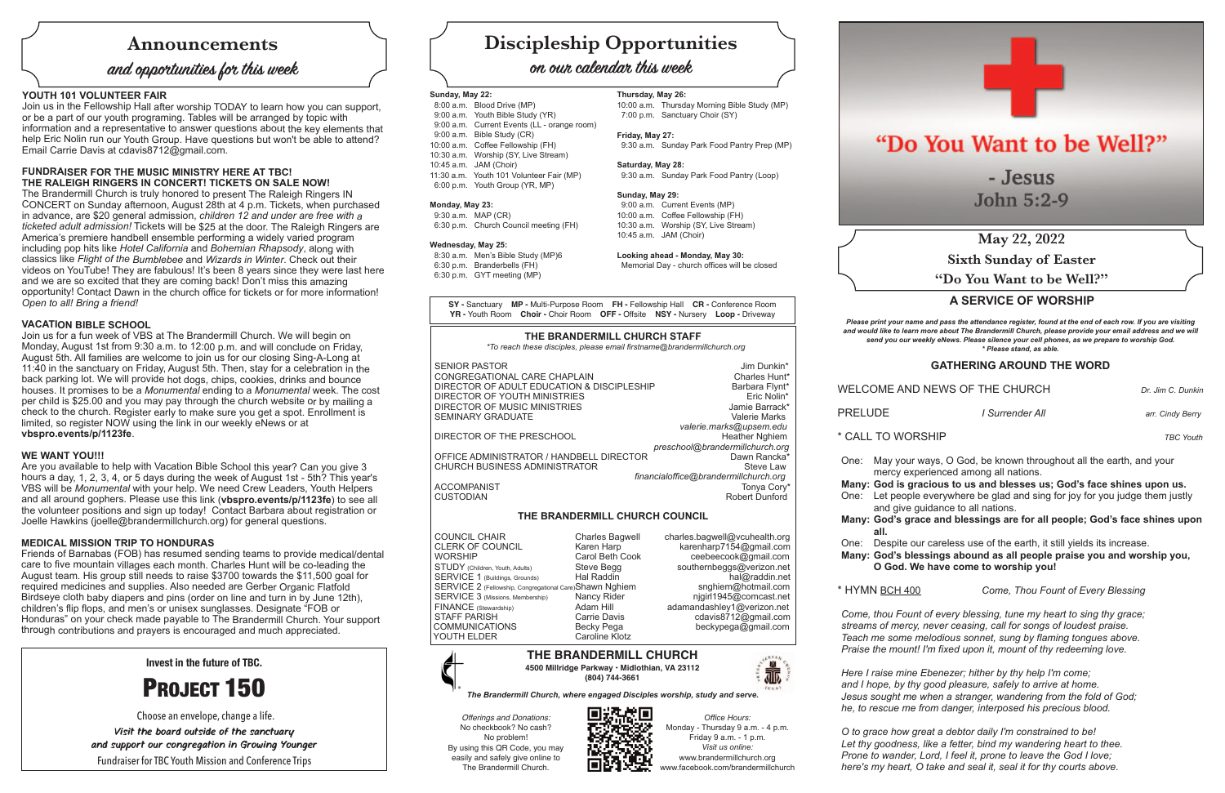## **Announcements**

## **and opportunities for this week**

# **Discipleship Opportunities**

## **on our calendar this week**

## **A SERVICE OF WORSHIP**

*Please print your name and pass the attendance register, found at the end of each row. If you are visiting and would like to learn more about The Brandermill Church, please provide your email address and we will send you our weekly eNews. Please silence your cell phones, as we prepare to worship God. \* Please stand, as able.*

## **GATHERING AROUND THE WORD**

WELCOME AND NEWS OF THE CHURCH *Dr. Jim C. Dunkin* 

PRELUDE *I Surrender All arr. Cindy Berry*

\* CALL TO WORSHIP *TBC Youth*

One: May your ways, O God, be known throughout all the earth, and your mercy experienced among all nations.

**Many: God is gracious to us and blesses us; God's face shines upon us.** One: Let people everywhere be glad and sing for joy for you judge them justly and give guidance to all nations.

**Many: God's grace and blessings are for all people; God's face shines upon**

**all.** 

# "Do You Want to be Well?"

## - Jesus John 5:2-9

One: Despite our careless use of the earth, it still yields its increase. **Many: God's blessings abound as all people praise you and worship you, O God. We have come to worship you!**

\* HYMN BCH 400 *Come, Thou Fount of Every Blessing*

*Come, thou Fount of every blessing, tune my heart to sing thy grace; streams of mercy, never ceasing, call for songs of loudest praise. Teach me some melodious sonnet, sung by flaming tongues above. Praise the mount! I'm fixed upon it, mount of thy redeeming love.* 

*Here I raise mine Ebenezer; hither by thy help I'm come; and I hope, by thy good pleasure, safely to arrive at home. Jesus sought me when a stranger, wandering from the fold of God; he, to rescue me from danger, interposed his precious blood.* 

*O to grace how great a debtor daily I'm constrained to be! Let thy goodness, like a fetter, bind my wandering heart to thee. Prone to wander, Lord, I feel it, prone to leave the God I love; here's my heart, O take and seal it, seal it for thy courts above.* 

**Thursday, May 26:**

10:00 a.m. Thursday Morning Bible Study (MP)

7:00 p.m. Sanctuary Choir (SY)

**Friday, May 27:**

9:30 a.m. Sunday Park Food Pantry Prep (MP)

**Saturday, May 28:**

9:30 a.m. Sunday Park Food Pantry (Loop)

**Sunday, May 29:**

9:00 a.m. Current Events (MP)

10:00 a.m. Coffee Fellowship (FH) 10:30 a.m. Worship (SY, Live Stream) 10:45 a.m. JAM (Choir)

**Looking ahead - Monday, May 30:** Memorial Day - church offices will be closed

### **Sunday, May 22:**

 8:00 a.m. Blood Drive (MP) 9:00 a.m. Youth Bible Study (YR) 9:00 a.m. Current Events (LL - orange room) 9:00 a.m. Bible Study (CR) 10:00 a.m. Coffee Fellowship (FH) 10:30 a.m. Worship (SY, Live Stream) 10:45 a.m. JAM (Choir) 11:30 a.m. Youth 101 Volunteer Fair (MP) 6:00 p.m. Youth Group (YR, MP)

#### **Monday, May 23:**

 9:30 a.m. MAP (CR) 6:30 p.m. Church Council meeting (FH)

## **Wednesday, May 25:**

8:30 a.m. Men's Bible Study (MP)6 6:30 p.m. Branderbells (FH) 6:30 p.m. GYT meeting (MP)

> **SY -** Sanctuary **MP -** Multi-Purpose Room **FH -** Fellowship Hall **CR -** Conference Room **YR -** Youth Room **Choir -** Choir Room **OFF -** Offsite **NSY -** Nursery **Loop -** Driveway

> > *Office Hours:* Monday - Thursday 9 a.m. - 4 p.m. Friday 9 a.m. - 1 p.m. *Visit us online:* www.brandermillchurch.org www.facebook.com/brandermillchurch



**May 22, 2022**

**Sixth Sunday of Easter**

**"Do You Want to be Well?"**

## **YOUTH 101 VOLUNTEER FAIR**

Join us in the Fellowship Hall after worship TODAY to learn how you can support, or be a part of our youth programing. Tables will be arranged by topic with information and a representative to answer questions about the key elements that help Eric Nolin run our Youth Group. Have questions but won't be able to attend? Email Carrie Davis at cdavis8712@gmail.com.

## **FUNDRAISER FOR THE MUSIC MINISTRY HERE AT TBC! THE RALEIGH RINGERS IN CONCERT! TICKETS ON SALE NOW!**

The Brandermill Church is truly honored to present The Raleigh Ringers IN CONCERT on Sunday afternoon, August 28th at 4 p.m. Tickets, when purchased in advance, are \$20 general admission, *children 12 and under are free with a ticketed adult admission!* Tickets will be \$25 at the door. The Raleigh Ringers are America's premiere handbell ensemble performing a widely varied program including pop hits like *Hotel California* and *Bohemian Rhapsody*, along with classics like *Flight of the Bumblebee* and *Wizards in Winter*. Check out their videos on YouTube! They are fabulous! It's been 8 years since they were last here and we are so excited that they are coming back! Don't miss this amazing opportunity! Contact Dawn in the church office for tickets or for more information! *Open to all! Bring a friend!*

## **VACATION BIBLE SCHOOL**

Join us for a fun week of VBS at The Brandermill Church. We will begin on Monday, August 1st from 9:30 a.m. to 12:00 p.m. and will conclude on Friday, August 5th. All families are welcome to join us for our closing Sing-A-Long at 11:40 in the sanctuary on Friday, August 5th. Then, stay for a celebration in the back parking lot. We will provide hot dogs, chips, cookies, drinks and bounce houses. It promises to be a *Monumental* ending to a *Monumental* week. The cost per child is \$25.00 and you may pay through the church website or by mailing a check to the church. Register early to make sure you get a spot. Enrollment is limited, so register NOW using the link in our weekly eNews or at **vbspro.events/p/1123fe**.

## **WE WANT YOU!!!**

Are you available to help with Vacation Bible School this year? Can you give 3 hours a day, 1, 2, 3, 4, or 5 days during the week of August 1st - 5th? This year's VBS will be *Monumental* with your help. We need Crew Leaders, Youth Helpers and all around gophers. Please use this link (**vbspro.events/p/1123fe**) to see all the volunteer positions and sign up today! Contact Barbara about registration or Joelle Hawkins (joelle@brandermillchurch.org) for general questions.

## **MEDICAL MISSION TRIP TO HONDURAS**

Friends of Barnabas (FOB) has resumed sending teams to provide medical/dental care to five mountain villages each month. Charles Hunt will be co-leading the August team. His group still needs to raise \$3700 towards the \$11,500 goal for required medicines and supplies. Also needed are Gerber Organic Flatfold Birdseye cloth baby diapers and pins (order on line and turn in by June 12th), children's flip flops, and men's or unisex sunglasses. Designate "FOB or Honduras" on your check made payable to The Brandermill Church. Your support through contributions and prayers is encouraged and much appreciated.

*The Brandermill Church, where engaged Disciples worship, study and serve.*

*Offerings and Donations:* No checkbook? No cash? No problem! By using this QR Code, you may easily and safely give online to The Brandermill Church.



| THE BRANDERMILL CHURCH STAFF |  |  |  |  |  |  |
|------------------------------|--|--|--|--|--|--|
|                              |  |  |  |  |  |  |

 *\*To reach these disciples, please email firstname@brandermillchurch.org*

| <b>L</b>                                                 | TUE BBANDEBMU I                           | AUUDAU                                |  |  |  |  |  |  |
|----------------------------------------------------------|-------------------------------------------|---------------------------------------|--|--|--|--|--|--|
| YOUTH ELDER                                              | Caroline Klotz                            |                                       |  |  |  |  |  |  |
| <b>COMMUNICATIONS</b>                                    | Becky Pega                                | beckypega@gmail.com                   |  |  |  |  |  |  |
| <b>STAFF PARISH</b>                                      | Carrie Davis                              | cdavis8712@gmail.com                  |  |  |  |  |  |  |
| FINANCE (Stewardship)                                    | Adam Hill                                 | adamandashley1@verizon.net            |  |  |  |  |  |  |
| SERVICE 3 (Missions, Membership)                         | Nancy Rider                               | njgirl1945@comcast.net                |  |  |  |  |  |  |
| SERVICE 2 (Fellowship, Congregational Care) Shawn Nghiem |                                           | snghiem@hotmail.com                   |  |  |  |  |  |  |
| SERVICE 1 (Buildings, Grounds)                           | Hal Raddin                                | hal@raddin.net                        |  |  |  |  |  |  |
| STUDY (Children, Youth, Adults)                          | Steve Begg                                | southernbeggs@verizon.net             |  |  |  |  |  |  |
| <b>WORSHIP</b>                                           | Carol Beth Cook                           | ceebeecook@gmail.com                  |  |  |  |  |  |  |
| <b>CLERK OF COUNCIL</b>                                  | Karen Harp                                | karenharp7154@gmail.com               |  |  |  |  |  |  |
| <b>COUNCIL CHAIR</b>                                     | <b>Charles Bagwell</b>                    | charles.bagwell@vcuhealth.org         |  |  |  |  |  |  |
| THE BRANDERMILL CHURCH COUNCIL                           |                                           |                                       |  |  |  |  |  |  |
| <b>CUSTODIAN</b>                                         |                                           | Robert Dunford                        |  |  |  |  |  |  |
| <b>ACCOMPANIST</b>                                       |                                           | Tonya Cory*                           |  |  |  |  |  |  |
|                                                          |                                           | financialoffice@brandermillchurch.org |  |  |  |  |  |  |
| <b>CHURCH BUSINESS ADMINISTRATOR</b>                     |                                           | Steve Law                             |  |  |  |  |  |  |
| OFFICE ADMINISTRATOR / HANDBELL DIRECTOR                 | Dawn Rancka*                              |                                       |  |  |  |  |  |  |
|                                                          | preschool@brandermillchurch.org           |                                       |  |  |  |  |  |  |
| DIRECTOR OF THE PRESCHOOL                                | valerie.marks@upsem.edu<br>Heather Nghiem |                                       |  |  |  |  |  |  |
| <b>SEMINARY GRADUATE</b>                                 | Valerie Marks                             |                                       |  |  |  |  |  |  |
| DIRECTOR OF MUSIC MINISTRIES                             | Jamie Barrack*                            |                                       |  |  |  |  |  |  |
| DIRECTOR OF YOUTH MINISTRIES                             | Eric Nolin*                               |                                       |  |  |  |  |  |  |
| DIRECTOR OF ADULT EDUCATION & DISCIPLESHIP               | Barbara Flynt*                            |                                       |  |  |  |  |  |  |
| CONGREGATIONAL CARE CHAPLAIN                             | Charles Hunt*                             |                                       |  |  |  |  |  |  |
| <b>SENIOR PASTOR</b>                                     |                                           | Jim Dunkin*                           |  |  |  |  |  |  |
|                                                          |                                           |                                       |  |  |  |  |  |  |

**Invest in the future of TBC.**

# PROJECT<sub>150</sub>

Choose an envelope, change a life. *Visit the board outside of the sanctuary and support our congregation in Growing Younger* Fundraiser for TBC Youth Mission and Conference Trips